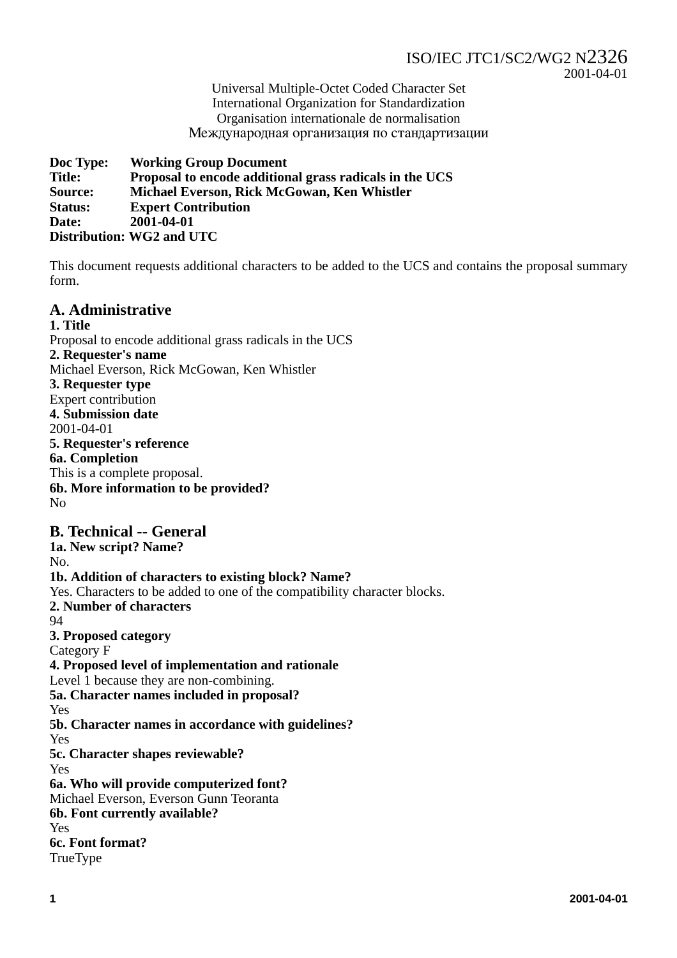Universal Multiple-Octet Coded Character Set International Organization for Standardization Organisation internationale de normalisation -еждународная организация по стандартизации

**Doc Type: Working Group Document Title: Proposal to encode additional grass radicals in the UCS Source: Michael Everson, Rick McGowan, Ken Whistler Status: Expert Contribution Date: 2001-04-01 Distribution: WG2 and UTC**

This document requests additional characters to be added to the UCS and contains the proposal summary form.

## **A. Administrative**

**1. Title** Proposal to encode additional grass radicals in the UCS **2. Requester's name** Michael Everson, Rick McGowan, Ken Whistler **3. Requester type** Expert contribution **4. Submission date** 2001-04-01 **5. Requester's reference 6a. Completion** This is a complete proposal. **6b. More information to be provided?** No

## **B. Technical -- General**

**1a. New script? Name?**

No. **1b. Addition of characters to existing block? Name?** Yes. Characters to be added to one of the compatibility character blocks. **2. Number of characters** 94 **3. Proposed category** Category F **4. Proposed level of implementation and rationale** Level 1 because they are non-combining. **5a. Character names included in proposal?** Yes **5b. Character names in accordance with guidelines?** Yes **5c. Character shapes reviewable?** Yes **6a. Who will provide computerized font?** Michael Everson, Everson Gunn Teoranta **6b. Font currently available?** Yes **6c. Font format?** TrueType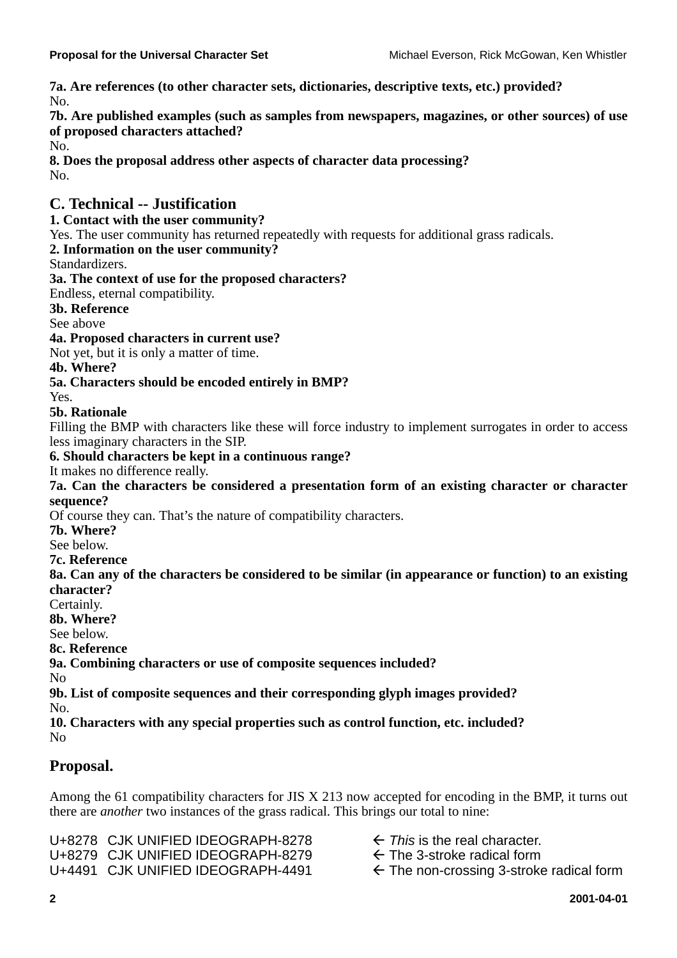**7a. Are references (to other character sets, dictionaries, descriptive texts, etc.) provided?** No.

**7b. Are published examples (such as samples from newspapers, magazines, or other sources) of use of proposed characters attached?**

No.

**8. Does the proposal address other aspects of character data processing?** No.

## **C. Technical -- Justification**

## **1. Contact with the user community?**

Yes. The user community has returned repeatedly with requests for additional grass radicals.

## **2. Information on the user community?**

Standardizers.

## **3a. The context of use for the proposed characters?**

Endless, eternal compatibility.

## **3b. Reference**

See above

## **4a. Proposed characters in current use?**

Not yet, but it is only a matter of time.

## **4b. Where?**

**5a. Characters should be encoded entirely in BMP?**

## Yes.

## **5b. Rationale**

Filling the BMP with characters like these will force industry to implement surrogates in order to access less imaginary characters in the SIP.

## **6. Should characters be kept in a continuous range?**

It makes no difference really.

**7a. Can the characters be considered a presentation form of an existing character or character sequence?** 

Of course they can. That's the nature of compatibility characters.

**7b. Where?**

See below.

**7c. Reference**

**8a. Can any of the characters be considered to be similar (in appearance or function) to an existing character?**

Certainly.

**8b. Where?**

See below.

**8c. Reference**

**9a. Combining characters or use of composite sequences included?**

No

**9b. List of composite sequences and their corresponding glyph images provided?**

No.

**10. Characters with any special properties such as control function, etc. included?** No

## **Proposal.**

Among the 61 compatibility characters for JIS X 213 now accepted for encoding in the BMP, it turns out there are *another* two instances of the grass radical. This brings our total to nine:

U+8278 CJK UNIFIED IDEOGRAPH-8278 U+8279 CJK UNIFIED IDEOGRAPH-8279 U+4491 CJK UNIFIED IDEOGRAPH-4491

- $\leftarrow$  This is the real character.
- $\leftarrow$  The 3-stroke radical form
- $\leftarrow$  The non-crossing 3-stroke radical form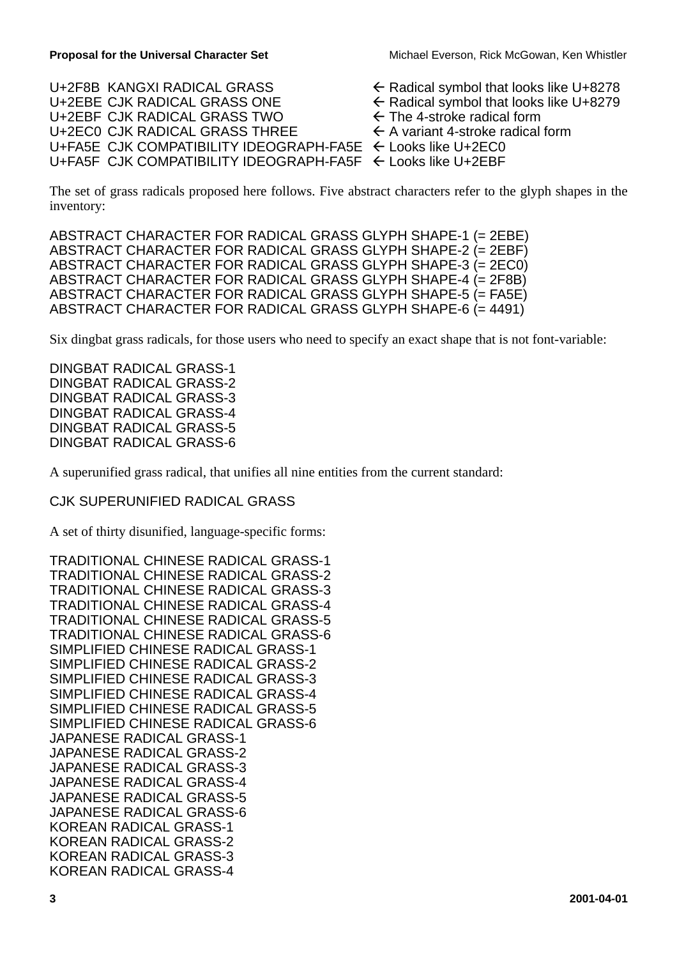**Proposal for the Universal Character Set** Michael Everson, Rick McGowan, Ken Whistler

U+2F8B KANGXI RADICAL GRASS U+2EBE CJK RADICAL GRASS ONE U+2EBF CJK RADICAL GRASS TWO U+2EC0 CJK RADICAL GRASS THREE U+FA5E CJK COMPATIBILITY IDEOGRAPH-FA5E  $\leftarrow$  Looks like U+2EC0 U+FA5F CJK COMPATIBILITY IDEOGRAPH-FA5F  $\leftarrow$  Looks like U+2EBF

 $\leftarrow$  Radical symbol that looks like U+8278

- $\leftarrow$  Radical symbol that looks like U+8279
- $\leftarrow$  The 4-stroke radical form
- $\leftarrow$  A variant 4-stroke radical form
	-
	-

The set of grass radicals proposed here follows. Five abstract characters refer to the glyph shapes in the inventory:

ABSTRACT CHARACTER FOR RADICAL GRASS GLYPH SHAPE-1 (= 2EBE) ABSTRACT CHARACTER FOR RADICAL GRASS GLYPH SHAPE-2 (= 2EBF) ABSTRACT CHARACTER FOR RADICAL GRASS GLYPH SHAPE-3 (= 2EC0) ABSTRACT CHARACTER FOR RADICAL GRASS GLYPH SHAPE-4 (= 2F8B) ABSTRACT CHARACTER FOR RADICAL GRASS GLYPH SHAPE-5 (= FA5E) ABSTRACT CHARACTER FOR RADICAL GRASS GLYPH SHAPE-6 (= 4491)

Six dingbat grass radicals, for those users who need to specify an exact shape that is not font-variable:

DINGBAT RADICAL GRASS-1 DINGBAT RADICAL GRASS-2 DINGBAT RADICAL GRASS-3 DINGBAT RADICAL GRASS-4 DINGBAT RADICAL GRASS-5 DINGBAT RADICAL GRASS-6

A superunified grass radical, that unifies all nine entities from the current standard:

#### CJK SUPERUNIFIED RADICAL GRASS

A set of thirty disunified, language-specific forms:

TRADITIONAL CHINESE RADICAL GRASS-1 TRADITIONAL CHINESE RADICAL GRASS-2 TRADITIONAL CHINESE RADICAL GRASS-3 TRADITIONAL CHINESE RADICAL GRASS-4 TRADITIONAL CHINESE RADICAL GRASS-5 TRADITIONAL CHINESE RADICAL GRASS-6 SIMPLIFIED CHINESE RADICAL GRASS-1 SIMPLIFIED CHINESE RADICAL GRASS-2 SIMPLIFIED CHINESE RADICAL GRASS-3 SIMPLIFIED CHINESE RADICAL GRASS-4 SIMPLIFIED CHINESE RADICAL GRASS-5 SIMPLIFIED CHINESE RADICAL GRASS-6 JAPANESE RADICAL GRASS-1 JAPANESE RADICAL GRASS-2 JAPANESE RADICAL GRASS-3 JAPANESE RADICAL GRASS-4 JAPANESE RADICAL GRASS-5 JAPANESE RADICAL GRASS-6 KOREAN RADICAL GRASS-1 KOREAN RADICAL GRASS-2 KOREAN RADICAL GRASS-3 KOREAN RADICAL GRASS-4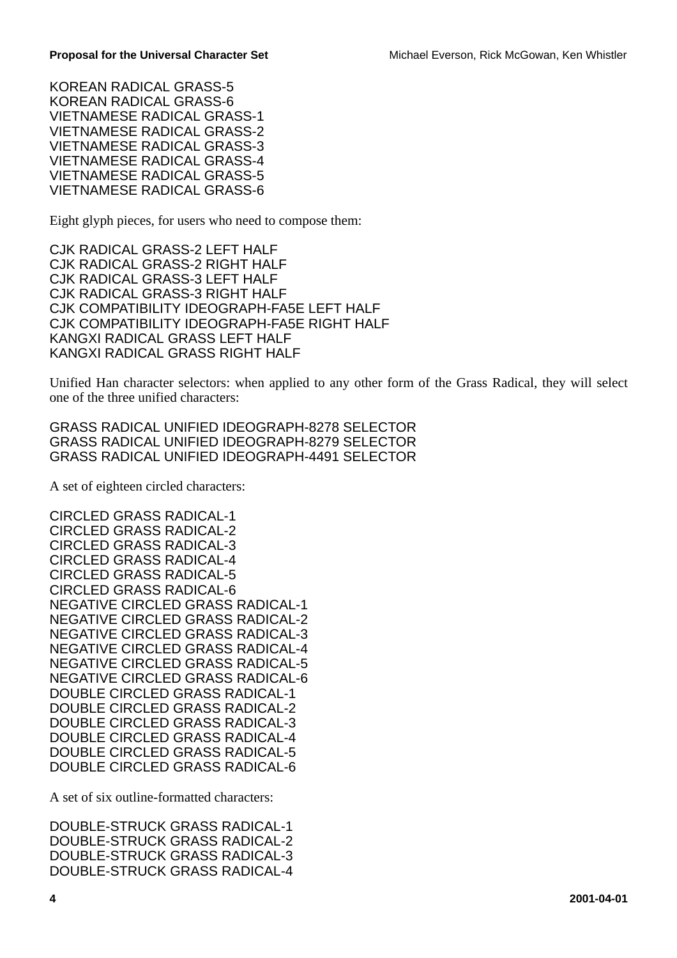KOREAN RADICAL GRASS-5 KOREAN RADICAL GRASS-6 VIETNAMESE RADICAL GRASS-1 VIETNAMESE RADICAL GRASS-2 VIETNAMESE RADICAL GRASS-3 VIETNAMESE RADICAL GRASS-4 VIETNAMESE RADICAL GRASS-5 VIETNAMESE RADICAL GRASS-6

Eight glyph pieces, for users who need to compose them:

CJK RADICAL GRASS-2 LEFT HALF CJK RADICAL GRASS-2 RIGHT HALF CJK RADICAL GRASS-3 LEFT HALF CJK RADICAL GRASS-3 RIGHT HALF CJK COMPATIBILITY IDEOGRAPH-FA5E LEFT HALF CJK COMPATIBILITY IDEOGRAPH-FA5E RIGHT HALF KANGXI RADICAL GRASS LEFT HALF KANGXI RADICAL GRASS RIGHT HALF

Unified Han character selectors: when applied to any other form of the Grass Radical, they will select one of the three unified characters:

GRASS RADICAL UNIFIED IDEOGRAPH-8278 SELECTOR GRASS RADICAL UNIFIED IDEOGRAPH-8279 SELECTOR GRASS RADICAL UNIFIED IDEOGRAPH-4491 SELECTOR

A set of eighteen circled characters:

CIRCLED GRASS RADICAL-1 CIRCLED GRASS RADICAL-2 CIRCLED GRASS RADICAL-3 CIRCLED GRASS RADICAL-4 CIRCLED GRASS RADICAL-5 CIRCLED GRASS RADICAL-6 NEGATIVE CIRCLED GRASS RADICAL-1 NEGATIVE CIRCLED GRASS RADICAL-2 NEGATIVE CIRCLED GRASS RADICAL-3 NEGATIVE CIRCLED GRASS RADICAL-4 NEGATIVE CIRCLED GRASS RADICAL-5 NEGATIVE CIRCLED GRASS RADICAL-6 DOUBLE CIRCLED GRASS RADICAL-1 DOUBLE CIRCLED GRASS RADICAL-2 DOUBLE CIRCLED GRASS RADICAL-3 DOUBLE CIRCLED GRASS RADICAL-4 DOUBLE CIRCLED GRASS RADICAL-5 DOUBLE CIRCLED GRASS RADICAL-6

A set of six outline-formatted characters:

DOUBLE-STRUCK GRASS RADICAL-1 DOUBLE-STRUCK GRASS RADICAL-2 DOUBLE-STRUCK GRASS RADICAL-3 DOUBLE-STRUCK GRASS RADICAL-4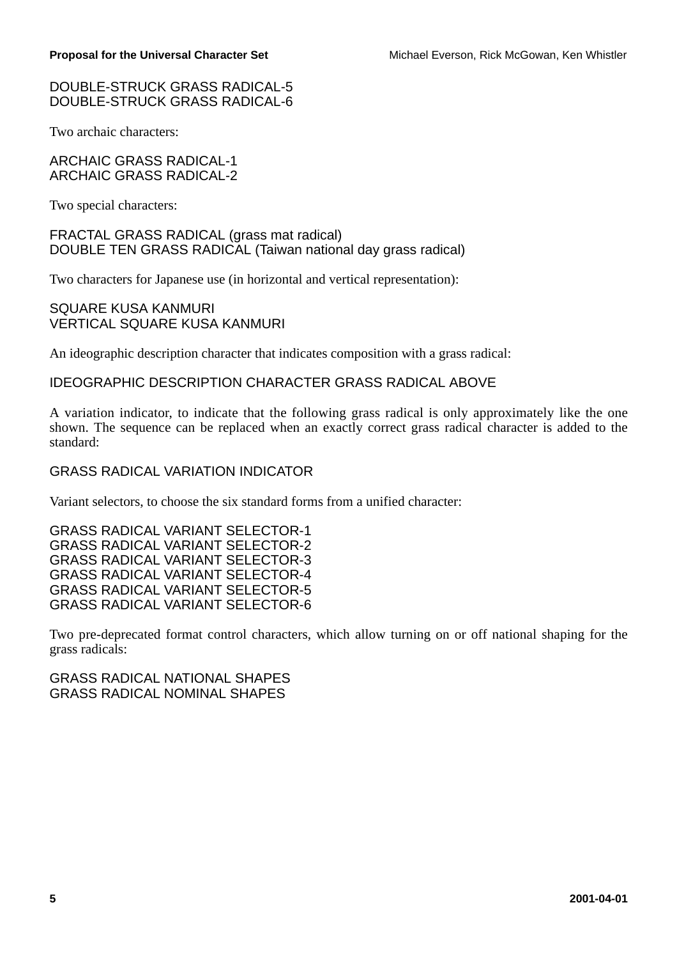## DOUBLE-STRUCK GRASS RADICAL-5 DOUBLE-STRUCK GRASS RADICAL-6

Two archaic characters:

## ARCHAIC GRASS RADICAL-1 ARCHAIC GRASS RADICAL-2

Two special characters:

FRACTAL GRASS RADICAL (grass mat radical) DOUBLE TEN GRASS RADICAL (Taiwan national day grass radical)

Two characters for Japanese use (in horizontal and vertical representation):

#### SQUARE KUSA KANMURI VERTICAL SQUARE KUSA KANMURI

An ideographic description character that indicates composition with a grass radical:

## IDEOGRAPHIC DESCRIPTION CHARACTER GRASS RADICAL ABOVE

A variation indicator, to indicate that the following grass radical is only approximately like the one shown. The sequence can be replaced when an exactly correct grass radical character is added to the standard:

## GRASS RADICAL VARIATION INDICATOR

Variant selectors, to choose the six standard forms from a unified character:

GRASS RADICAL VARIANT SELECTOR-1 GRASS RADICAL VARIANT SELECTOR-2 GRASS RADICAL VARIANT SELECTOR-3 GRASS RADICAL VARIANT SELECTOR-4 GRASS RADICAL VARIANT SELECTOR-5 GRASS RADICAL VARIANT SELECTOR-6

Two pre-deprecated format control characters, which allow turning on or off national shaping for the grass radicals:

GRASS RADICAL NATIONAL SHAPES GRASS RADICAL NOMINAL SHAPES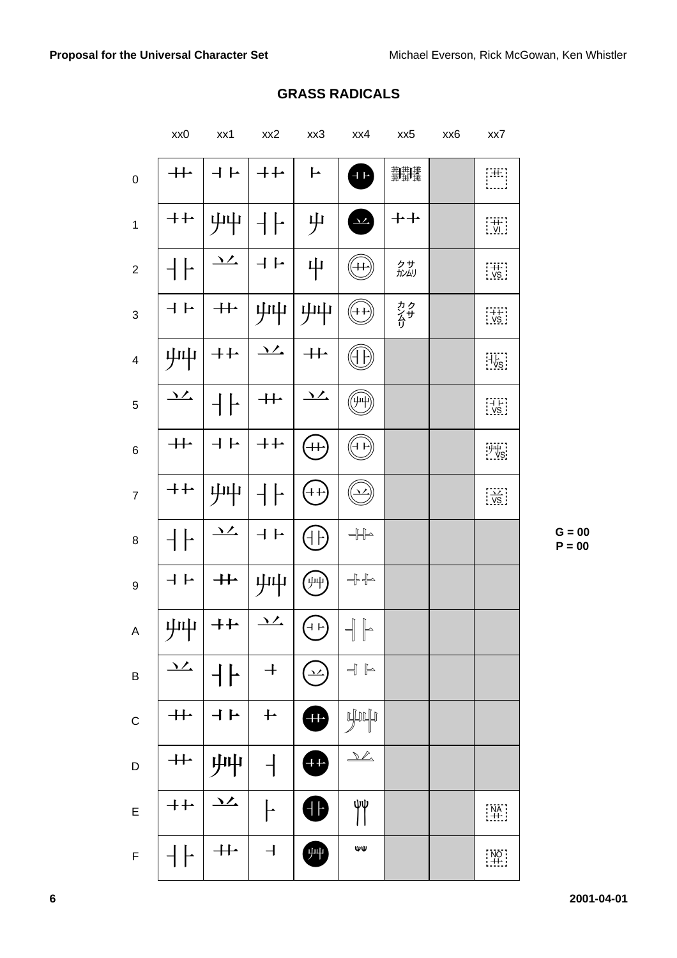|                  | xx0           | xx1                      | xx2                                 | xx3                                    | xx4                                                                                                                                                                                                                                                                                                                                             | xx5        | xx6 | xx7                                                                                    |  |
|------------------|---------------|--------------------------|-------------------------------------|----------------------------------------|-------------------------------------------------------------------------------------------------------------------------------------------------------------------------------------------------------------------------------------------------------------------------------------------------------------------------------------------------|------------|-----|----------------------------------------------------------------------------------------|--|
| $\mathbf 0$      | $+\cdot$      | ート                       | $++$                                | $\vdash$                               | $-1$                                                                                                                                                                                                                                                                                                                                            | 講講         |     | $\left[\begin{smallmatrix} H & H \\ \vdots & \vdots & \vdots \end{smallmatrix}\right]$ |  |
| $\mathbf{1}$     | 十十            |                          | <b>屮屮   +   屮</b>                   |                                        | $\overline{\mathcal{M}}$                                                                                                                                                                                                                                                                                                                        | 十十         |     | $\frac{1}{2}$                                                                          |  |
| $\boldsymbol{2}$ | ┨┝            | $\overline{\mathcal{M}}$ | $-1$ $\vdash$                       | 中                                      | $\hat{H}$                                                                                                                                                                                                                                                                                                                                       | クサ<br>ルムリ  |     | $\frac{11}{15}$                                                                        |  |
| 3                | $-1$ $\vdash$ | $+$                      | 中中                                  | 屮                                      | $(++)$                                                                                                                                                                                                                                                                                                                                          | カクサ<br>インサ |     | $+ +$<br>VS                                                                            |  |
| $\overline{4}$   | 屮中            | $++$                     | $\overline{\mathcal{M}}$            | $+$                                    |                                                                                                                                                                                                                                                                                                                                                 |            |     | $\exists \psi_{\mathsf{S}}$ .                                                          |  |
| $\overline{5}$   | $\Delta$      | $ +$                     | $+\hspace{-1.5mm}+\hspace{-1.5mm}-$ | $\overline{\mathcal{M}}$               | /艸                                                                                                                                                                                                                                                                                                                                              |            |     | $\frac{1}{2}$                                                                          |  |
| $\,6$            | $+\cdot$      | $\overline{+}$           | $++$                                | $(+)$                                  | (4 F                                                                                                                                                                                                                                                                                                                                            |            |     | $\mathcal{P}\Downarrow_{\mathbb{S}}$                                                   |  |
| $\overline{7}$   | $++$          | 尹中   十上                  |                                     | $(++)$                                 | $\Delta t$                                                                                                                                                                                                                                                                                                                                      |            |     | $\frac{\Delta Z}{\text{VS}}$                                                           |  |
| 8                | ┨┝            | $\overline{\mathcal{M}}$ | $-1$ $\vdash$                       | $(\dagger \dagger)$                    | $\frac{1}{2}$                                                                                                                                                                                                                                                                                                                                   |            |     |                                                                                        |  |
| 9                | $-1$ $\vdash$ | $+$                      | யுடி                                | ,<br>八月<br>八月                          | ╶╬╶╠╾                                                                                                                                                                                                                                                                                                                                           |            |     |                                                                                        |  |
| A                | யுடி<br>ノー    | $++$                     | $\overline{\mathcal{M}}$            | $(+)$                                  | $\begin{picture}(20,5) \put(0,0){\line(1,0){155}} \put(15,0){\line(1,0){155}} \put(15,0){\line(1,0){155}} \put(15,0){\line(1,0){155}} \put(15,0){\line(1,0){155}} \put(15,0){\line(1,0){155}} \put(15,0){\line(1,0){155}} \put(15,0){\line(1,0){155}} \put(15,0){\line(1,0){155}} \put(15,0){\line(1,0){155}} \put(15,0){\line(1,0){155}} \put$ |            |     |                                                                                        |  |
| $\mathsf B$      | $\Delta$      | $\mathcal{A}$            | $+$                                 | $\left(\frac{\Delta L}{\Delta}\right)$ | $\overline{\dashv}$                                                                                                                                                                                                                                                                                                                             |            |     |                                                                                        |  |
| $\mathsf{C}$     | $+$           | ート                       | $\ddot{\phantom{1}}$                | Ð                                      | யியி                                                                                                                                                                                                                                                                                                                                            |            |     |                                                                                        |  |
| D                | $+\cdot$      | 丱                        | $\overline{\phantom{a}}$            | Œ                                      | D                                                                                                                                                                                                                                                                                                                                               |            |     |                                                                                        |  |
| $\mathsf E$      | $++$          | $\Delta L$               | ├                                   | $\bf \Phi$                             | $\int$                                                                                                                                                                                                                                                                                                                                          |            |     | $M_A +$                                                                                |  |
| $\overline{F}$   | ┨┝            | $+\cdot$                 | $\overline{\phantom{0}}$            | 艸                                      | ΨΨ                                                                                                                                                                                                                                                                                                                                              |            |     | $\overset{\text{NO}}{\text{++}}$                                                       |  |

# **GRASS RADICALS**

**G = 00 P = 00**